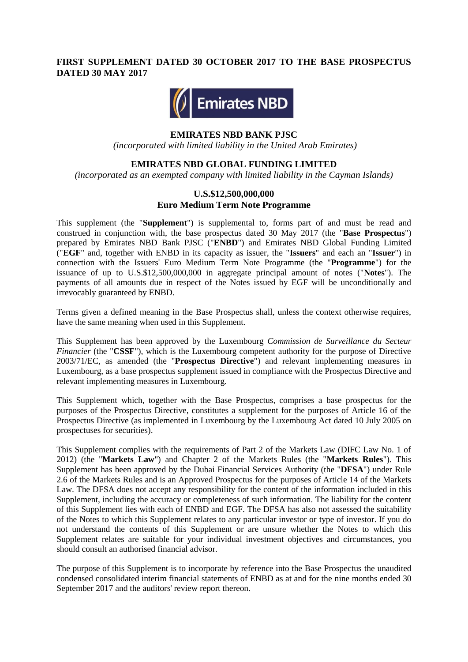## **FIRST SUPPLEMENT DATED 30 OCTOBER 2017 TO THE BASE PROSPECTUS DATED 30 MAY 2017**



#### **EMIRATES NBD BANK PJSC**

*(incorporated with limited liability in the United Arab Emirates)*

#### **EMIRATES NBD GLOBAL FUNDING LIMITED**

*(incorporated as an exempted company with limited liability in the Cayman Islands)*

## **U.S.\$12,500,000,000 Euro Medium Term Note Programme**

This supplement (the "**Supplement**") is supplemental to, forms part of and must be read and construed in conjunction with, the base prospectus dated 30 May 2017 (the "**Base Prospectus**") prepared by Emirates NBD Bank PJSC ("**ENBD**") and Emirates NBD Global Funding Limited ("**EGF**" and, together with ENBD in its capacity as issuer, the "**Issuers**" and each an "**Issuer**") in connection with the Issuers' Euro Medium Term Note Programme (the "**Programme**") for the issuance of up to U.S.\$12,500,000,000 in aggregate principal amount of notes ("**Notes**"). The payments of all amounts due in respect of the Notes issued by EGF will be unconditionally and irrevocably guaranteed by ENBD.

Terms given a defined meaning in the Base Prospectus shall, unless the context otherwise requires, have the same meaning when used in this Supplement.

This Supplement has been approved by the Luxembourg *Commission de Surveillance du Secteur Financier* (the "CSSF"), which is the Luxembourg competent authority for the purpose of Directive 2003/71/EC, as amended (the "**Prospectus Directive**") and relevant implementing measures in Luxembourg, as a base prospectus supplement issued in compliance with the Prospectus Directive and relevant implementing measures in Luxembourg.

This Supplement which, together with the Base Prospectus, comprises a base prospectus for the purposes of the Prospectus Directive, constitutes a supplement for the purposes of Article 16 of the Prospectus Directive (as implemented in Luxembourg by the Luxembourg Act dated 10 July 2005 on prospectuses for securities).

This Supplement complies with the requirements of Part 2 of the Markets Law (DIFC Law No. 1 of 2012) (the "**Markets Law**") and Chapter 2 of the Markets Rules (the "**Markets Rules**"). This Supplement has been approved by the Dubai Financial Services Authority (the "**DFSA**") under Rule 2.6 of the Markets Rules and is an Approved Prospectus for the purposes of Article 14 of the Markets Law. The DFSA does not accept any responsibility for the content of the information included in this Supplement, including the accuracy or completeness of such information. The liability for the content of this Supplement lies with each of ENBD and EGF. The DFSA has also not assessed the suitability of the Notes to which this Supplement relates to any particular investor or type of investor. If you do not understand the contents of this Supplement or are unsure whether the Notes to which this Supplement relates are suitable for your individual investment objectives and circumstances, you should consult an authorised financial advisor.

The purpose of this Supplement is to incorporate by reference into the Base Prospectus the unaudited condensed consolidated interim financial statements of ENBD as at and for the nine months ended 30 September 2017 and the auditors' review report thereon.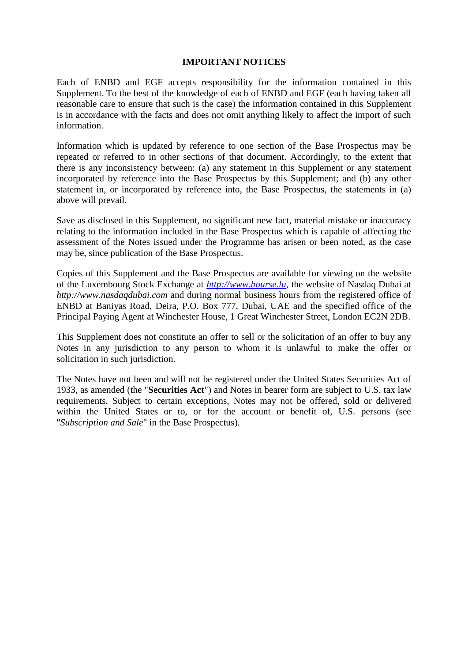## **IMPORTANT NOTICES**

Each of ENBD and EGF accepts responsibility for the information contained in this Supplement. To the best of the knowledge of each of ENBD and EGF (each having taken all reasonable care to ensure that such is the case) the information contained in this Supplement is in accordance with the facts and does not omit anything likely to affect the import of such information.

Information which is updated by reference to one section of the Base Prospectus may be repeated or referred to in other sections of that document. Accordingly, to the extent that there is any inconsistency between: (a) any statement in this Supplement or any statement incorporated by reference into the Base Prospectus by this Supplement; and (b) any other statement in, or incorporated by reference into, the Base Prospectus, the statements in (a) above will prevail.

Save as disclosed in this Supplement, no significant new fact, material mistake or inaccuracy relating to the information included in the Base Prospectus which is capable of affecting the assessment of the Notes issued under the Programme has arisen or been noted, as the case may be, since publication of the Base Prospectus.

Copies of this Supplement and the Base Prospectus are available for viewing on the website of the Luxembourg Stock Exchange at *[http://www.bourse.lu,](http://www.bourse.lu/)* the website of Nasdaq Dubai at *http://www.nasdaqdubai.com* and during normal business hours from the registered office of ENBD at Baniyas Road, Deira, P.O. Box 777, Dubai, UAE and the specified office of the Principal Paying Agent at Winchester House, 1 Great Winchester Street, London EC2N 2DB.

This Supplement does not constitute an offer to sell or the solicitation of an offer to buy any Notes in any jurisdiction to any person to whom it is unlawful to make the offer or solicitation in such jurisdiction.

The Notes have not been and will not be registered under the United States Securities Act of 1933, as amended (the "**Securities Act**") and Notes in bearer form are subject to U.S. tax law requirements. Subject to certain exceptions, Notes may not be offered, sold or delivered within the United States or to, or for the account or benefit of, U.S. persons (see "*Subscription and Sale*" in the Base Prospectus).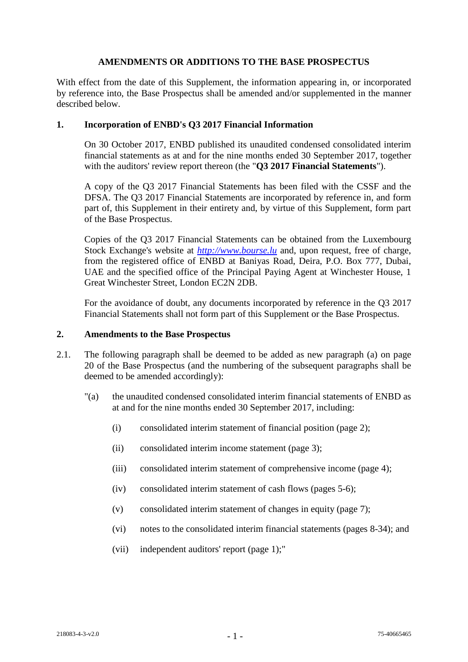## **AMENDMENTS OR ADDITIONS TO THE BASE PROSPECTUS**

With effect from the date of this Supplement, the information appearing in, or incorporated by reference into, the Base Prospectus shall be amended and/or supplemented in the manner described below.

# **1. Incorporation of ENBD's Q3 2017 Financial Information**

On 30 October 2017, ENBD published its unaudited condensed consolidated interim financial statements as at and for the nine months ended 30 September 2017, together with the auditors' review report thereon (the "**Q3 2017 Financial Statements**").

A copy of the Q3 2017 Financial Statements has been filed with the CSSF and the DFSA. The Q3 2017 Financial Statements are incorporated by reference in, and form part of, this Supplement in their entirety and, by virtue of this Supplement, form part of the Base Prospectus.

Copies of the Q3 2017 Financial Statements can be obtained from the Luxembourg Stock Exchange's website at *[http://www.bourse.lu](http://www.bourse.lu/)* and, upon request, free of charge, from the registered office of ENBD at Baniyas Road, Deira, P.O. Box 777, Dubai, UAE and the specified office of the Principal Paying Agent at Winchester House, 1 Great Winchester Street, London EC2N 2DB.

For the avoidance of doubt, any documents incorporated by reference in the Q3 2017 Financial Statements shall not form part of this Supplement or the Base Prospectus.

## **2. Amendments to the Base Prospectus**

- 2.1. The following paragraph shall be deemed to be added as new paragraph (a) on page 20 of the Base Prospectus (and the numbering of the subsequent paragraphs shall be deemed to be amended accordingly):
	- "(a) the unaudited condensed consolidated interim financial statements of ENBD as at and for the nine months ended 30 September 2017, including:
		- (i) consolidated interim statement of financial position (page 2);
		- (ii) consolidated interim income statement (page 3);
		- (iii) consolidated interim statement of comprehensive income (page 4);
		- (iv) consolidated interim statement of cash flows (pages 5-6);
		- (v) consolidated interim statement of changes in equity (page 7);
		- (vi) notes to the consolidated interim financial statements (pages 8-34); and
		- (vii) independent auditors' report (page 1);"